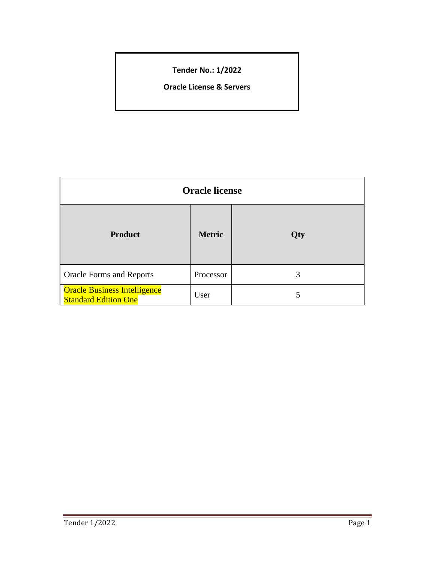# **Tender No.: 1/2022**

**Oracle License & Servers**

| <b>Oracle license</b>                                              |               |     |
|--------------------------------------------------------------------|---------------|-----|
| <b>Product</b>                                                     | <b>Metric</b> | Qty |
| <b>Oracle Forms and Reports</b>                                    | Processor     | 3   |
| <b>Oracle Business Intelligence</b><br><b>Standard Edition One</b> | User          | 5   |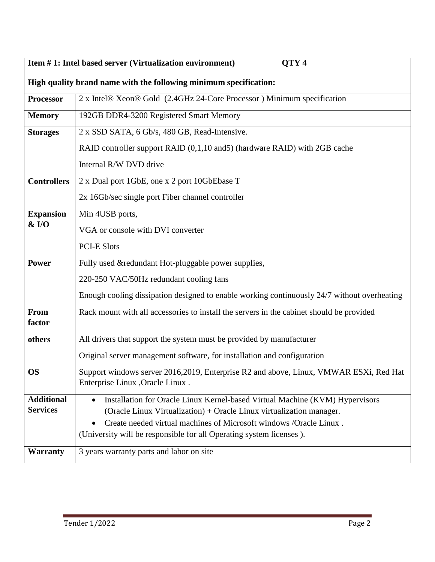| QTY <sub>4</sub><br>Item #1: Intel based server (Virtualization environment) |                                                                                                                                           |  |
|------------------------------------------------------------------------------|-------------------------------------------------------------------------------------------------------------------------------------------|--|
|                                                                              | High quality brand name with the following minimum specification:                                                                         |  |
| <b>Processor</b>                                                             | 2 x Intel® Xeon® Gold (2.4GHz 24-Core Processor) Minimum specification                                                                    |  |
| <b>Memory</b>                                                                | 192GB DDR4-3200 Registered Smart Memory                                                                                                   |  |
| <b>Storages</b>                                                              | 2 x SSD SATA, 6 Gb/s, 480 GB, Read-Intensive.                                                                                             |  |
|                                                                              | RAID controller support RAID (0,1,10 and 5) (hardware RAID) with 2GB cache                                                                |  |
|                                                                              | Internal R/W DVD drive                                                                                                                    |  |
| <b>Controllers</b>                                                           | 2 x Dual port 1GbE, one x 2 port 10GbEbase T                                                                                              |  |
|                                                                              | 2x 16Gb/sec single port Fiber channel controller                                                                                          |  |
| <b>Expansion</b>                                                             | Min 4USB ports,                                                                                                                           |  |
| $&$ I/O                                                                      | VGA or console with DVI converter                                                                                                         |  |
|                                                                              | <b>PCI-E Slots</b>                                                                                                                        |  |
| <b>Power</b>                                                                 | Fully used &redundant Hot-pluggable power supplies,                                                                                       |  |
|                                                                              | 220-250 VAC/50Hz redundant cooling fans                                                                                                   |  |
|                                                                              | Enough cooling dissipation designed to enable working continuously 24/7 without overheating                                               |  |
| From                                                                         | Rack mount with all accessories to install the servers in the cabinet should be provided                                                  |  |
| factor                                                                       |                                                                                                                                           |  |
| others                                                                       | All drivers that support the system must be provided by manufacturer                                                                      |  |
|                                                                              | Original server management software, for installation and configuration                                                                   |  |
| <b>OS</b>                                                                    | Support windows server 2016,2019, Enterprise R2 and above, Linux, VMWAR ESXi, Red Hat                                                     |  |
|                                                                              | Enterprise Linux , Oracle Linux.                                                                                                          |  |
| <b>Additional</b><br><b>Services</b>                                         | Installation for Oracle Linux Kernel-based Virtual Machine (KVM) Hypervisors                                                              |  |
|                                                                              | (Oracle Linux Virtualization) + Oracle Linux virtualization manager.                                                                      |  |
|                                                                              | Create needed virtual machines of Microsoft windows /Oracle Linux.<br>(University will be responsible for all Operating system licenses). |  |
|                                                                              |                                                                                                                                           |  |
| <b>Warranty</b>                                                              | 3 years warranty parts and labor on site                                                                                                  |  |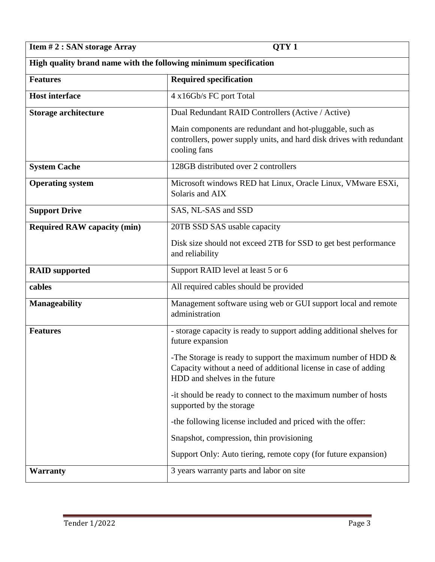**Item # 2 : SAN storage Array QTY 1** 

| High quality brand name with the following minimum specification |                                                                                                                                                                     |  |
|------------------------------------------------------------------|---------------------------------------------------------------------------------------------------------------------------------------------------------------------|--|
| <b>Features</b>                                                  | <b>Required specification</b>                                                                                                                                       |  |
| <b>Host interface</b>                                            | 4 x16Gb/s FC port Total                                                                                                                                             |  |
| Storage architecture                                             | Dual Redundant RAID Controllers (Active / Active)                                                                                                                   |  |
|                                                                  | Main components are redundant and hot-pluggable, such as<br>controllers, power supply units, and hard disk drives with redundant<br>cooling fans                    |  |
| <b>System Cache</b>                                              | 128GB distributed over 2 controllers                                                                                                                                |  |
| <b>Operating system</b>                                          | Microsoft windows RED hat Linux, Oracle Linux, VMware ESXi,<br>Solaris and AIX                                                                                      |  |
| <b>Support Drive</b>                                             | SAS, NL-SAS and SSD                                                                                                                                                 |  |
| <b>Required RAW capacity (min)</b>                               | 20TB SSD SAS usable capacity                                                                                                                                        |  |
|                                                                  | Disk size should not exceed 2TB for SSD to get best performance<br>and reliability                                                                                  |  |
| <b>RAID</b> supported                                            | Support RAID level at least 5 or 6                                                                                                                                  |  |
| cables                                                           | All required cables should be provided                                                                                                                              |  |
| Manageability                                                    | Management software using web or GUI support local and remote<br>administration                                                                                     |  |
| <b>Features</b>                                                  | - storage capacity is ready to support adding additional shelves for<br>future expansion                                                                            |  |
|                                                                  | -The Storage is ready to support the maximum number of HDD $\&$<br>Capacity without a need of additional license in case of adding<br>HDD and shelves in the future |  |
|                                                                  | -it should be ready to connect to the maximum number of hosts<br>supported by the storage                                                                           |  |
|                                                                  | -the following license included and priced with the offer:                                                                                                          |  |
|                                                                  | Snapshot, compression, thin provisioning                                                                                                                            |  |
|                                                                  | Support Only: Auto tiering, remote copy (for future expansion)                                                                                                      |  |
| <b>Warranty</b>                                                  | 3 years warranty parts and labor on site                                                                                                                            |  |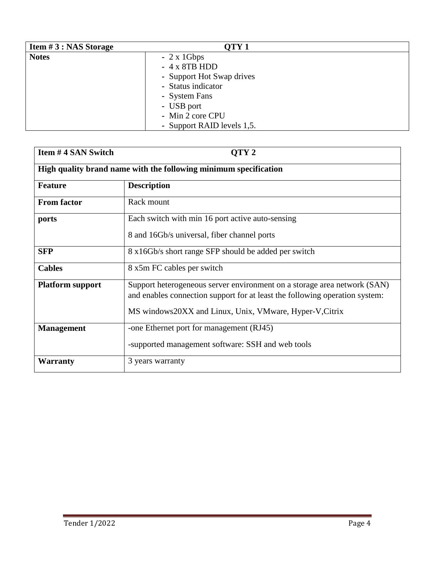| <b>Item <math>#3</math>: NAS Storage</b> | QTY <sub>1</sub>           |
|------------------------------------------|----------------------------|
| <b>Notes</b>                             | $-2x1Gbps$                 |
|                                          | $-4x8TBHDD$                |
|                                          | - Support Hot Swap drives  |
|                                          | - Status indicator         |
|                                          | - System Fans              |
|                                          | - USB port                 |
|                                          | - Min 2 core CPU           |
|                                          | - Support RAID levels 1,5. |

| Item #4 SAN Switch                                               | OTY <sub>2</sub>                                                                                                                                                                                                   |  |
|------------------------------------------------------------------|--------------------------------------------------------------------------------------------------------------------------------------------------------------------------------------------------------------------|--|
| High quality brand name with the following minimum specification |                                                                                                                                                                                                                    |  |
| <b>Feature</b>                                                   | <b>Description</b>                                                                                                                                                                                                 |  |
| <b>From factor</b>                                               | Rack mount                                                                                                                                                                                                         |  |
| ports                                                            | Each switch with min 16 port active auto-sensing                                                                                                                                                                   |  |
|                                                                  | 8 and 16Gb/s universal, fiber channel ports                                                                                                                                                                        |  |
| <b>SFP</b>                                                       | 8 x16Gb/s short range SFP should be added per switch                                                                                                                                                               |  |
| <b>Cables</b>                                                    | 8 x5m FC cables per switch                                                                                                                                                                                         |  |
| <b>Platform support</b>                                          | Support heterogeneous server environment on a storage area network (SAN)<br>and enables connection support for at least the following operation system:<br>MS windows20XX and Linux, Unix, VMware, Hyper-V, Citrix |  |
| <b>Management</b>                                                | -one Ethernet port for management (RJ45)<br>-supported management software: SSH and web tools                                                                                                                      |  |
| <b>Warranty</b>                                                  | 3 years warranty                                                                                                                                                                                                   |  |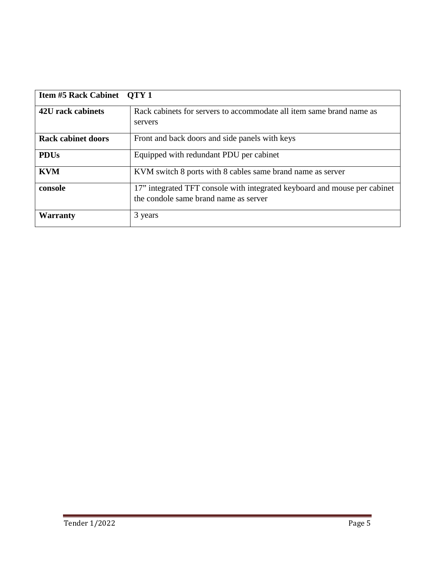| <b>Item #5 Rack Cabinet QTY 1</b> |                                                                                                                    |
|-----------------------------------|--------------------------------------------------------------------------------------------------------------------|
| 42U rack cabinets                 | Rack cabinets for servers to accommodate all item same brand name as<br>servers                                    |
| <b>Rack cabinet doors</b>         | Front and back doors and side panels with keys                                                                     |
| <b>PDUs</b>                       | Equipped with redundant PDU per cabinet                                                                            |
| <b>KVM</b>                        | KVM switch 8 ports with 8 cables same brand name as server                                                         |
| console                           | 17" integrated TFT console with integrated keyboard and mouse per cabinet<br>the condole same brand name as server |
| Warranty                          | 3 years                                                                                                            |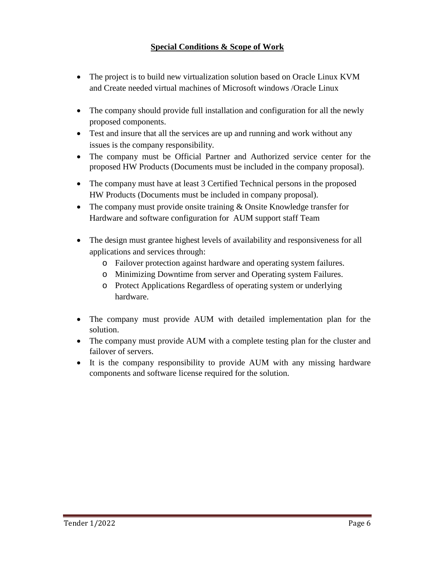# **Special Conditions & Scope of Work**

- The project is to build new virtualization solution based on Oracle Linux KVM and Create needed virtual machines of Microsoft windows /Oracle Linux
- The company should provide full installation and configuration for all the newly proposed components.
- Test and insure that all the services are up and running and work without any issues is the company responsibility.
- The company must be Official Partner and Authorized service center for the proposed HW Products (Documents must be included in the company proposal).
- The company must have at least 3 Certified Technical persons in the proposed HW Products (Documents must be included in company proposal).
- The company must provide onsite training & Onsite Knowledge transfer for Hardware and software configuration for AUM support staff Team
- The design must grantee highest levels of availability and responsiveness for all applications and services through:
	- o Failover protection against hardware and operating system failures.
	- o Minimizing Downtime from server and Operating system Failures.
	- o Protect Applications Regardless of operating system or underlying hardware.
- The company must provide AUM with detailed implementation plan for the solution.
- The company must provide AUM with a complete testing plan for the cluster and failover of servers.
- It is the company responsibility to provide AUM with any missing hardware components and software license required for the solution.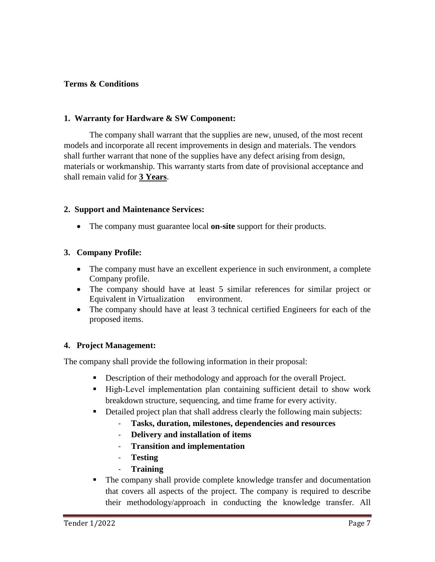## **Terms & Conditions**

#### **1. Warranty for Hardware & SW Component:**

The company shall warrant that the supplies are new, unused, of the most recent models and incorporate all recent improvements in design and materials. The vendors shall further warrant that none of the supplies have any defect arising from design, materials or workmanship. This warranty starts from date of provisional acceptance and shall remain valid for **3 Years**.

#### **2. Support and Maintenance Services:**

• The company must guarantee local **on-site** support for their products.

## **3. Company Profile:**

- The company must have an excellent experience in such environment, a complete Company profile.
- The company should have at least 5 similar references for similar project or Equivalent in Virtualization environment.
- The company should have at least 3 technical certified Engineers for each of the proposed items.

#### **4. Project Management:**

The company shall provide the following information in their proposal:

- Description of their methodology and approach for the overall Project.
- High-Level implementation plan containing sufficient detail to show work breakdown structure, sequencing, and time frame for every activity.
- **Detailed project plan that shall address clearly the following main subjects:** 
	- **Tasks, duration, milestones, dependencies and resources**
	- **Delivery and installation of items**
	- **Transition and implementation**
	- **Testing**
	- **Training**
- The company shall provide complete knowledge transfer and documentation that covers all aspects of the project. The company is required to describe their methodology/approach in conducting the knowledge transfer. All